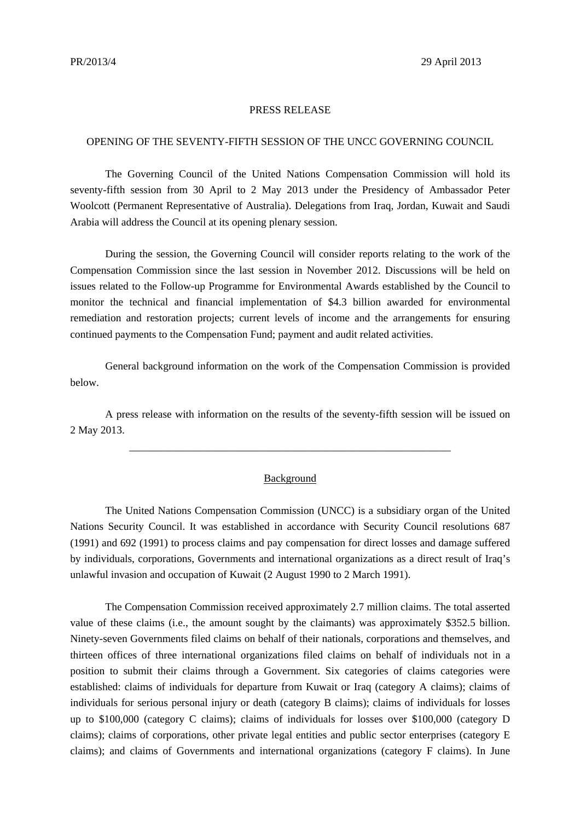## PRESS RELEASE

## OPENING OF THE SEVENTY-FIFTH SESSION OF THE UNCC GOVERNING COUNCIL

The Governing Council of the United Nations Compensation Commission will hold its seventy-fifth session from 30 April to 2 May 2013 under the Presidency of Ambassador Peter Woolcott (Permanent Representative of Australia). Delegations from Iraq, Jordan, Kuwait and Saudi Arabia will address the Council at its opening plenary session.

During the session, the Governing Council will consider reports relating to the work of the Compensation Commission since the last session in November 2012. Discussions will be held on issues related to the Follow-up Programme for Environmental Awards established by the Council to monitor the technical and financial implementation of \$4.3 billion awarded for environmental remediation and restoration projects; current levels of income and the arrangements for ensuring continued payments to the Compensation Fund; payment and audit related activities.

 General background information on the work of the Compensation Commission is provided below.

 A press release with information on the results of the seventy-fifth session will be issued on 2 May 2013.

\_\_\_\_\_\_\_\_\_\_\_\_\_\_\_\_\_\_\_\_\_\_\_\_\_\_\_\_\_\_\_\_\_\_\_\_\_\_\_\_\_\_\_\_\_\_\_\_\_\_\_\_\_\_\_\_\_\_\_\_

## Background

 The United Nations Compensation Commission (UNCC) is a subsidiary organ of the United Nations Security Council. It was established in accordance with Security Council resolutions 687 (1991) and 692 (1991) to process claims and pay compensation for direct losses and damage suffered by individuals, corporations, Governments and international organizations as a direct result of Iraq's unlawful invasion and occupation of Kuwait (2 August 1990 to 2 March 1991).

 The Compensation Commission received approximately 2.7 million claims. The total asserted value of these claims (i.e., the amount sought by the claimants) was approximately \$352.5 billion. Ninety-seven Governments filed claims on behalf of their nationals, corporations and themselves, and thirteen offices of three international organizations filed claims on behalf of individuals not in a position to submit their claims through a Government. Six categories of claims categories were established: claims of individuals for departure from Kuwait or Iraq (category A claims); claims of individuals for serious personal injury or death (category B claims); claims of individuals for losses up to \$100,000 (category C claims); claims of individuals for losses over \$100,000 (category D claims); claims of corporations, other private legal entities and public sector enterprises (category E claims); and claims of Governments and international organizations (category F claims). In June